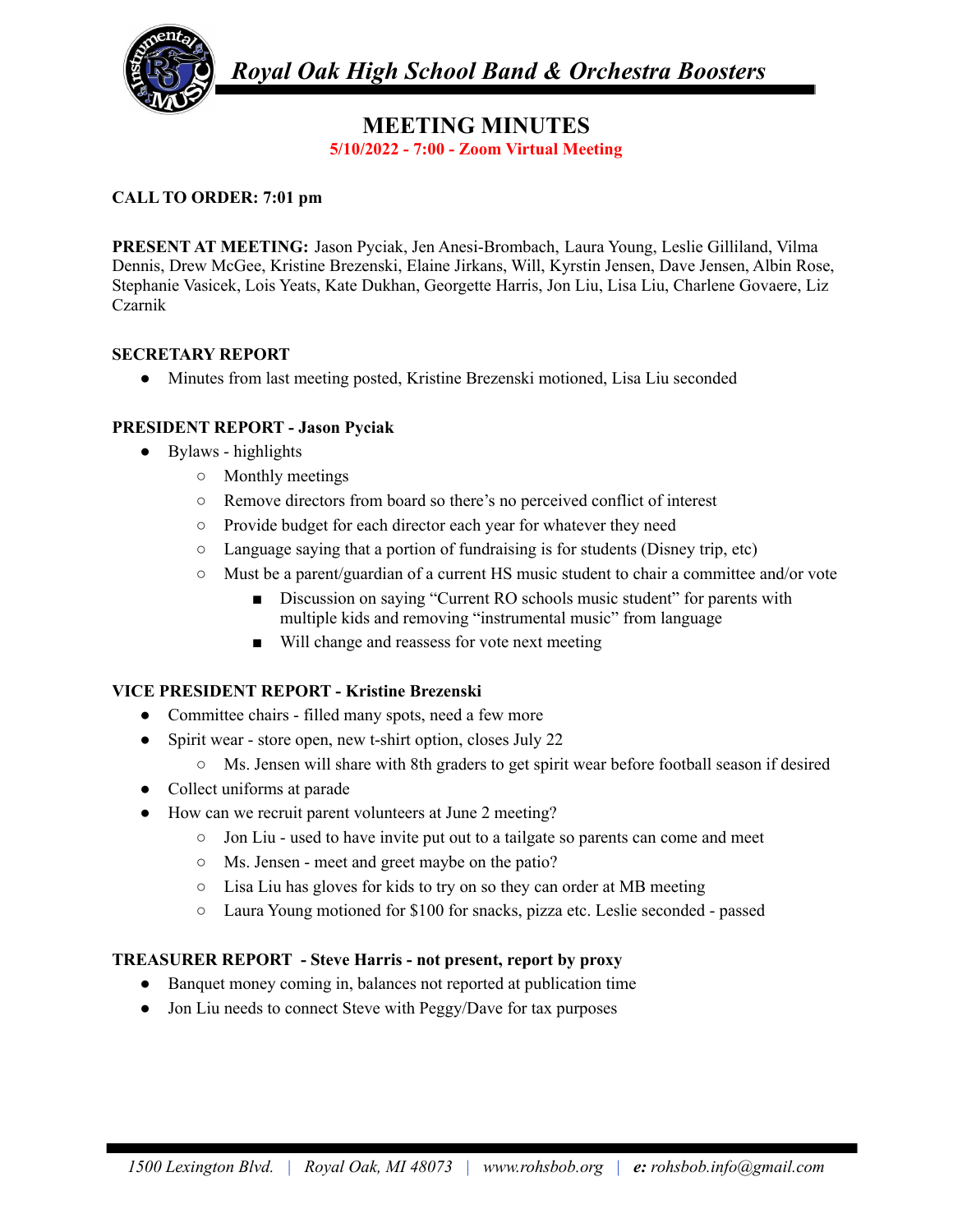

*Royal Oak High School Band & Orchestra Boosters*

# **MEETING MINUTES 5/10/2022 - 7:00 - Zoom Virtual Meeting**

# **CALL TO ORDER: 7:01 pm**

**PRESENT AT MEETING:** Jason Pyciak, Jen Anesi-Brombach, Laura Young, Leslie Gilliland, Vilma Dennis, Drew McGee, Kristine Brezenski, Elaine Jirkans, Will, Kyrstin Jensen, Dave Jensen, Albin Rose, Stephanie Vasicek, Lois Yeats, Kate Dukhan, Georgette Harris, Jon Liu, Lisa Liu, Charlene Govaere, Liz Czarnik

#### **SECRETARY REPORT**

● Minutes from last meeting posted, Kristine Brezenski motioned, Lisa Liu seconded

# **PRESIDENT REPORT - Jason Pyciak**

- Bylaws highlights
	- Monthly meetings
	- Remove directors from board so there's no perceived conflict of interest
	- Provide budget for each director each year for whatever they need
	- $\circ$  Language saying that a portion of fundraising is for students (Disney trip, etc)
	- Must be a parent/guardian of a current HS music student to chair a committee and/or vote
		- Discussion on saying "Current RO schools music student" for parents with multiple kids and removing "instrumental music" from language
		- Will change and reassess for vote next meeting

#### **VICE PRESIDENT REPORT - Kristine Brezenski**

- Committee chairs filled many spots, need a few more
- Spirit wear store open, new t-shirt option, closes July 22
	- Ms. Jensen will share with 8th graders to get spirit wear before football season if desired
- Collect uniforms at parade
- How can we recruit parent volunteers at June 2 meeting?
	- Jon Liu used to have invite put out to a tailgate so parents can come and meet
	- Ms. Jensen meet and greet maybe on the patio?
	- Lisa Liu has gloves for kids to try on so they can order at MB meeting
	- Laura Young motioned for \$100 for snacks, pizza etc. Leslie seconded passed

# **TREASURER REPORT - Steve Harris - not present, report by proxy**

- Banquet money coming in, balances not reported at publication time
- Jon Liu needs to connect Steve with Peggy/Dave for tax purposes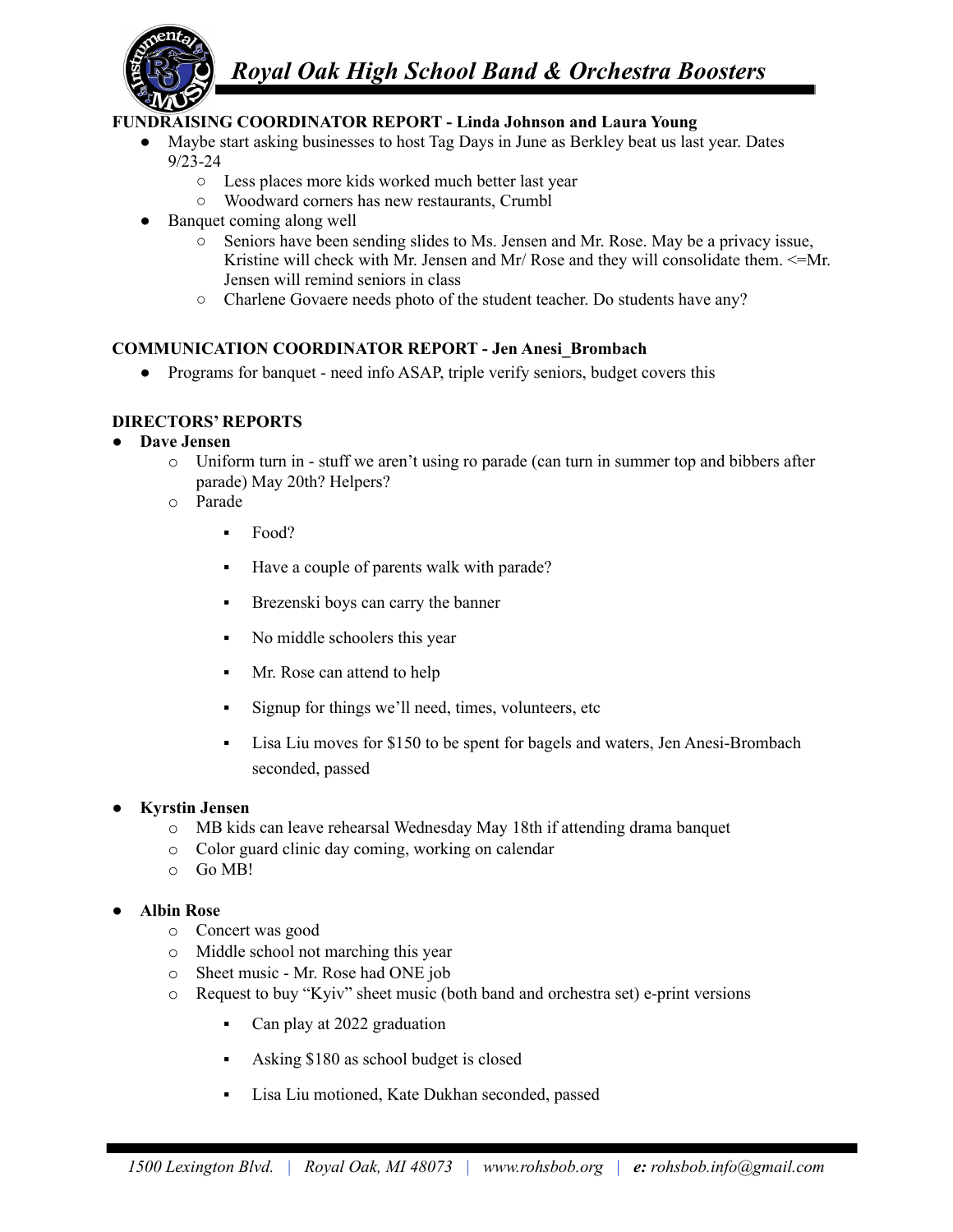

# *Royal Oak High School Band & Orchestra Boosters*

# **FUNDRAISING COORDINATOR REPORT - Linda Johnson and Laura Young**

- Maybe start asking businesses to host Tag Days in June as Berkley beat us last year. Dates 9/23-24
	- Less places more kids worked much better last year
	- Woodward corners has new restaurants, Crumbl
- Banquet coming along well
	- Seniors have been sending slides to Ms. Jensen and Mr. Rose. May be a privacy issue, Kristine will check with Mr. Jensen and Mr/ Rose and they will consolidate them.  $\leq$ -Mr. Jensen will remind seniors in class
	- Charlene Govaere needs photo of the student teacher. Do students have any?

#### **COMMUNICATION COORDINATOR REPORT - Jen Anesi\_Brombach**

• Programs for banquet - need info ASAP, triple verify seniors, budget covers this

#### **DIRECTORS' REPORTS**

#### **● Dave Jensen**

- o Uniform turn in stuff we aren't using ro parade (can turn in summer top and bibbers after parade) May 20th? Helpers?
- o Parade
	- Food?
	- Have a couple of parents walk with parade?
	- **•** Brezenski boys can carry the banner
	- No middle schoolers this year
	- Mr. Rose can attend to help
	- Signup for things we'll need, times, volunteers, etc
	- Lisa Liu moves for \$150 to be spent for bagels and waters, Jen Anesi-Brombach seconded, passed

#### **● Kyrstin Jensen**

- o MB kids can leave rehearsal Wednesday May 18th if attending drama banquet
- o Color guard clinic day coming, working on calendar
- $O$  Go MB!

# **● Albin Rose**

- o Concert was good
- o Middle school not marching this year
- o Sheet music Mr. Rose had ONE job
- o Request to buy "Kyiv" sheet music (both band and orchestra set) e-print versions
	- Can play at 2022 graduation
	- Asking \$180 as school budget is closed
	- Lisa Liu motioned, Kate Dukhan seconded, passed